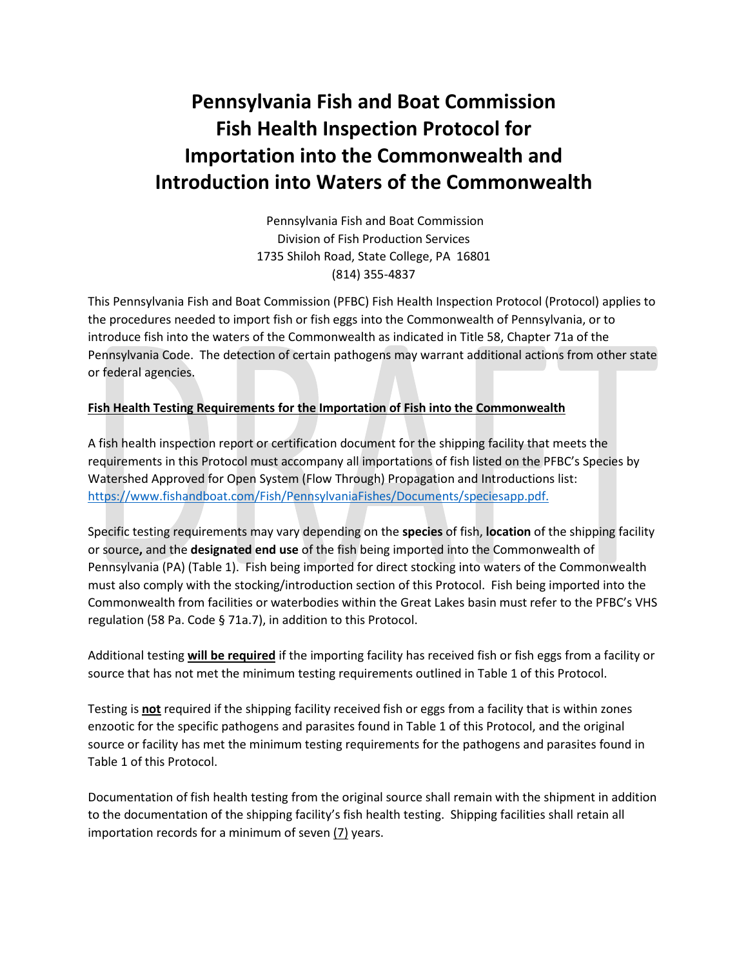# **Pennsylvania Fish and Boat Commission Fish Health Inspection Protocol for Importation into the Commonwealth and Introduction into Waters of the Commonwealth**

Pennsylvania Fish and Boat Commission Division of Fish Production Services 1735 Shiloh Road, State College, PA 16801 (814) 355-4837

This Pennsylvania Fish and Boat Commission (PFBC) Fish Health Inspection Protocol (Protocol) applies to the procedures needed to import fish or fish eggs into the Commonwealth of Pennsylvania, or to introduce fish into the waters of the Commonwealth as indicated in Title 58, Chapter 71a of the Pennsylvania Code. The detection of certain pathogens may warrant additional actions from other state or federal agencies.

#### **Fish Health Testing Requirements for the Importation of Fish into the Commonwealth**

A fish health inspection report or certification document for the shipping facility that meets the requirements in this Protocol must accompany all importations of fish listed on the PFBC's Species by Watershed Approved for Open System (Flow Through) Propagation and Introductions list: [https://www.fishandboat.com/Fish/PennsylvaniaFishes/Documents/speciesapp.pdf.](https://www.fishandboat.com/Fish/PennsylvaniaFishes/Documents/speciesapp.pdf)

Specific testing requirements may vary depending on the **species** of fish, **location** of the shipping facility or source**,** and the **designated end use** of the fish being imported into the Commonwealth of Pennsylvania (PA) (Table 1). Fish being imported for direct stocking into waters of the Commonwealth must also comply with the stocking/introduction section of this Protocol. Fish being imported into the Commonwealth from facilities or waterbodies within the Great Lakes basin must refer to the PFBC's VHS regulation (58 Pa. Code § 71a.7), in addition to this Protocol.

Additional testing **will be required** if the importing facility has received fish or fish eggs from a facility or source that has not met the minimum testing requirements outlined in Table 1 of this Protocol.

Testing is **not** required if the shipping facility received fish or eggs from a facility that is within zones enzootic for the specific pathogens and parasites found in Table 1 of this Protocol, and the original source or facility has met the minimum testing requirements for the pathogens and parasites found in Table 1 of this Protocol.

Documentation of fish health testing from the original source shall remain with the shipment in addition to the documentation of the shipping facility's fish health testing. Shipping facilities shall retain all importation records for a minimum of seven  $(7)$  years.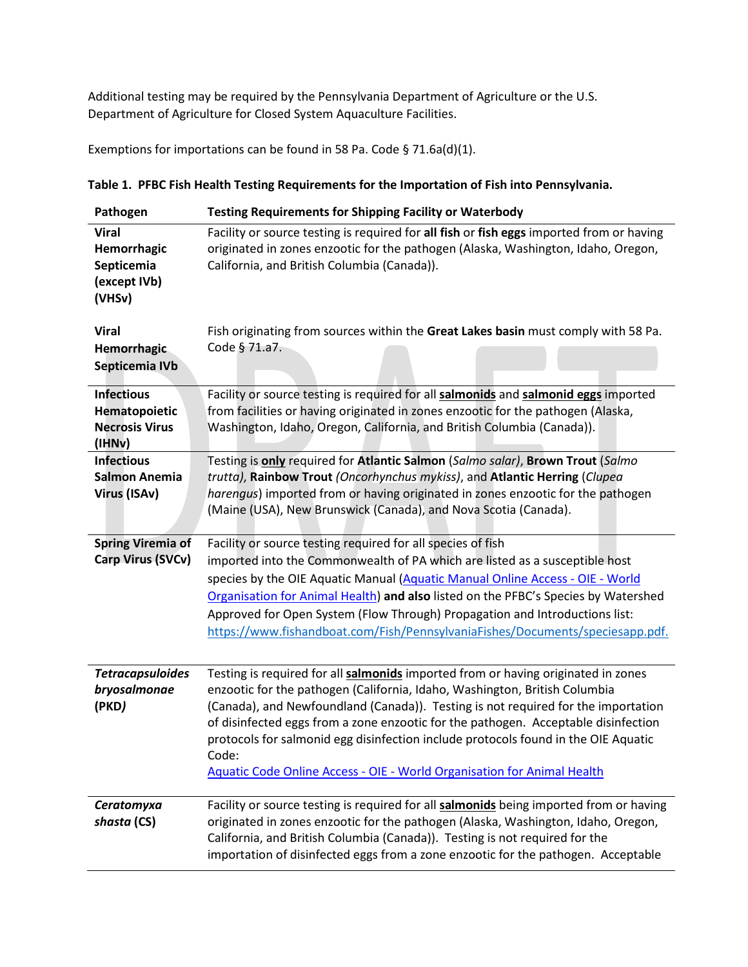Additional testing may be required by the Pennsylvania Department of Agriculture or the U.S. Department of Agriculture for Closed System Aquaculture Facilities.

Exemptions for importations can be found in 58 Pa. Code § 71.6a(d)(1).

| Pathogen                                                              | <b>Testing Requirements for Shipping Facility or Waterbody</b>                                                                                                                                                                                                                                                                                                                                                                                                                                                              |
|-----------------------------------------------------------------------|-----------------------------------------------------------------------------------------------------------------------------------------------------------------------------------------------------------------------------------------------------------------------------------------------------------------------------------------------------------------------------------------------------------------------------------------------------------------------------------------------------------------------------|
| <b>Viral</b><br>Hemorrhagic<br>Septicemia<br>(except IVb)<br>(VHSv)   | Facility or source testing is required for all fish or fish eggs imported from or having<br>originated in zones enzootic for the pathogen (Alaska, Washington, Idaho, Oregon,<br>California, and British Columbia (Canada)).                                                                                                                                                                                                                                                                                                |
| <b>Viral</b><br>Hemorrhagic<br>Septicemia IVb                         | Fish originating from sources within the Great Lakes basin must comply with 58 Pa.<br>Code § 71.a7.                                                                                                                                                                                                                                                                                                                                                                                                                         |
| <b>Infectious</b><br>Hematopoietic<br><b>Necrosis Virus</b><br>(IHNv) | Facility or source testing is required for all salmonids and salmonid eggs imported<br>from facilities or having originated in zones enzootic for the pathogen (Alaska,<br>Washington, Idaho, Oregon, California, and British Columbia (Canada)).                                                                                                                                                                                                                                                                           |
| <b>Infectious</b><br><b>Salmon Anemia</b><br>Virus (ISAv)             | Testing is only required for Atlantic Salmon (Salmo salar), Brown Trout (Salmo<br>trutta), Rainbow Trout (Oncorhynchus mykiss), and Atlantic Herring (Clupea<br>harengus) imported from or having originated in zones enzootic for the pathogen<br>(Maine (USA), New Brunswick (Canada), and Nova Scotia (Canada).                                                                                                                                                                                                          |
| <b>Spring Viremia of</b><br>Carp Virus (SVCv)                         | Facility or source testing required for all species of fish<br>imported into the Commonwealth of PA which are listed as a susceptible host<br>species by the OIE Aquatic Manual (Aquatic Manual Online Access - OIE - World<br>Organisation for Animal Health) and also listed on the PFBC's Species by Watershed<br>Approved for Open System (Flow Through) Propagation and Introductions list:<br>https://www.fishandboat.com/Fish/PennsylvaniaFishes/Documents/speciesapp.pdf.                                           |
| <b>Tetracapsuloides</b><br>bryosalmonae<br>(PKD)                      | Testing is required for all salmonids imported from or having originated in zones<br>enzootic for the pathogen (California, Idaho, Washington, British Columbia<br>(Canada), and Newfoundland (Canada)). Testing is not required for the importation<br>of disinfected eggs from a zone enzootic for the pathogen. Acceptable disinfection<br>protocols for salmonid egg disinfection include protocols found in the OIE Aquatic<br>Code:<br><b>Aquatic Code Online Access - OIE - World Organisation for Animal Health</b> |
| Ceratomyxa<br>shasta (CS)                                             | Facility or source testing is required for all salmonids being imported from or having<br>originated in zones enzootic for the pathogen (Alaska, Washington, Idaho, Oregon,<br>California, and British Columbia (Canada)). Testing is not required for the<br>importation of disinfected eggs from a zone enzootic for the pathogen. Acceptable                                                                                                                                                                             |

**Table 1. PFBC Fish Health Testing Requirements for the Importation of Fish into Pennsylvania.**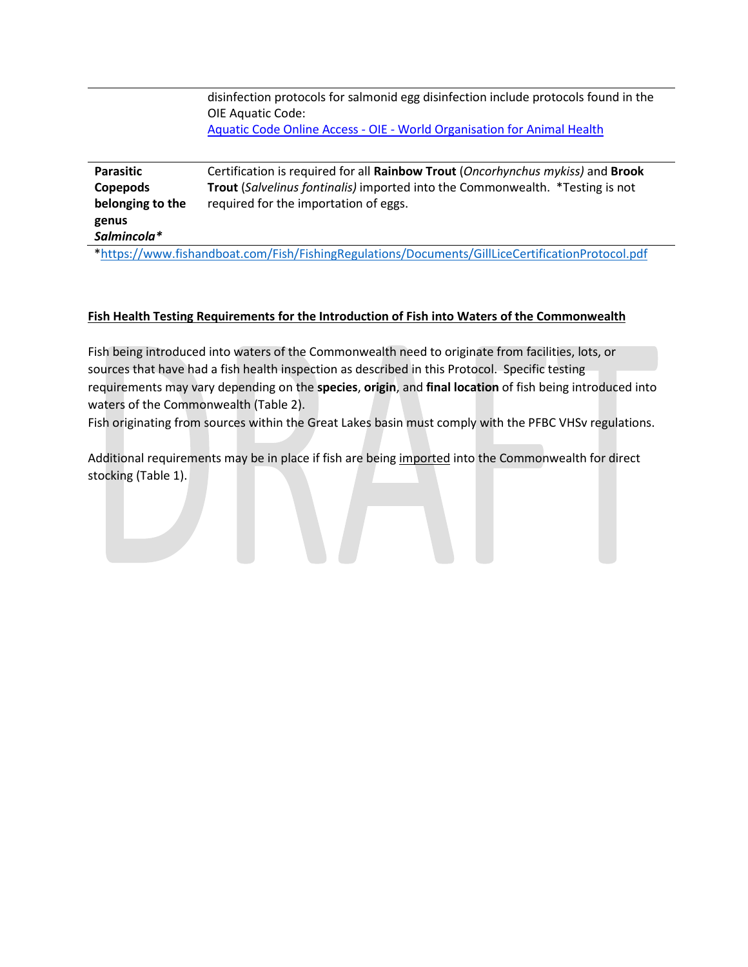disinfection protocols for salmonid egg disinfection include protocols found in the OIE Aquatic Code: Aquatic Code Online Access - OIE - [World Organisation for Animal Health](https://www.oie.int/en/what-we-do/standards/codes-and-manuals/aquatic-code-online-access/?id=169&L=1&htmfile=chapitre_disinfection_eggs.htm)

| Parasitic                                                                                        | Certification is required for all Rainbow Trout (Oncorhynchus mykiss) and Brook |  |  |  |  |  |  |  |  |
|--------------------------------------------------------------------------------------------------|---------------------------------------------------------------------------------|--|--|--|--|--|--|--|--|
| Copepods                                                                                         | Trout (Salvelinus fontinalis) imported into the Commonwealth. *Testing is not   |  |  |  |  |  |  |  |  |
| belonging to the                                                                                 | required for the importation of eggs.                                           |  |  |  |  |  |  |  |  |
| genus                                                                                            |                                                                                 |  |  |  |  |  |  |  |  |
| Salmincola*                                                                                      |                                                                                 |  |  |  |  |  |  |  |  |
| *https://www.fishandboat.com/Fish/FishingRegulations/Documents/GillLiceCertificationProtocol.pdf |                                                                                 |  |  |  |  |  |  |  |  |

# **Fish Health Testing Requirements for the Introduction of Fish into Waters of the Commonwealth**

Fish being introduced into waters of the Commonwealth need to originate from facilities, lots, or sources that have had a fish health inspection as described in this Protocol. Specific testing requirements may vary depending on the **species**, **origin**, and **final location** of fish being introduced into waters of the Commonwealth (Table 2).

Fish originating from sources within the Great Lakes basin must comply with the PFBC VHSv regulations.

Additional requirements may be in place if fish are being imported into the Commonwealth for direct stocking (Table 1).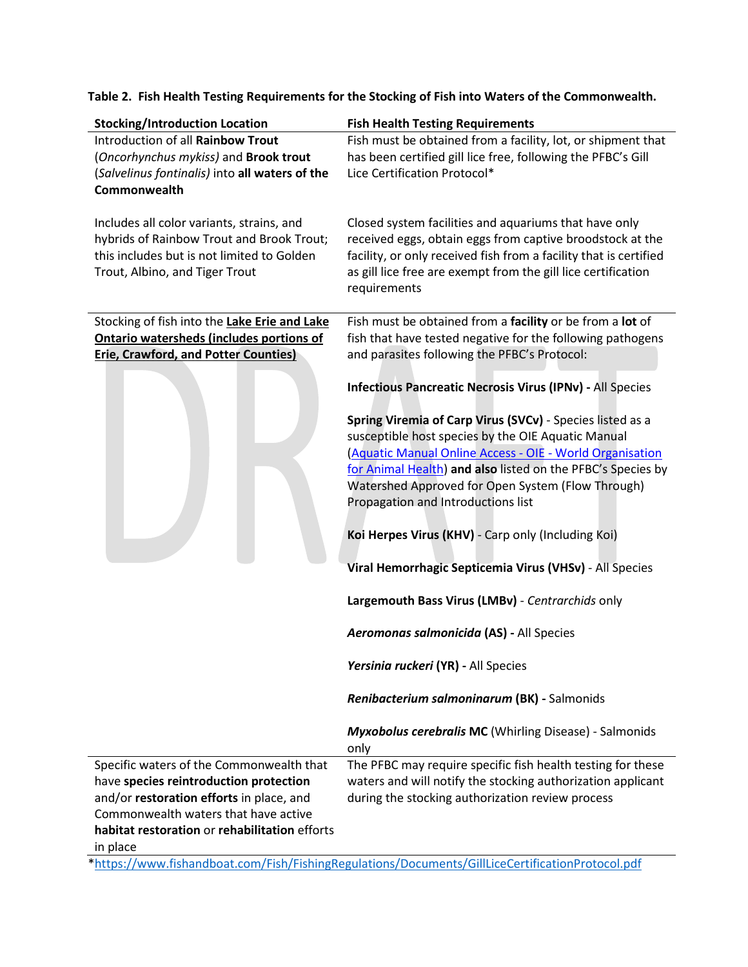| <b>Stocking/Introduction Location</b>                                                                                                                                  | <b>Fish Health Testing Requirements</b>                                                                                                                                                                                                                                  |
|------------------------------------------------------------------------------------------------------------------------------------------------------------------------|--------------------------------------------------------------------------------------------------------------------------------------------------------------------------------------------------------------------------------------------------------------------------|
| Introduction of all Rainbow Trout<br>(Oncorhynchus mykiss) and Brook trout<br>(Salvelinus fontinalis) into all waters of the<br>Commonwealth                           | Fish must be obtained from a facility, lot, or shipment that<br>has been certified gill lice free, following the PFBC's Gill<br>Lice Certification Protocol*                                                                                                             |
| Includes all color variants, strains, and<br>hybrids of Rainbow Trout and Brook Trout;<br>this includes but is not limited to Golden<br>Trout, Albino, and Tiger Trout | Closed system facilities and aquariums that have only<br>received eggs, obtain eggs from captive broodstock at the<br>facility, or only received fish from a facility that is certified<br>as gill lice free are exempt from the gill lice certification<br>requirements |
| Stocking of fish into the Lake Erie and Lake<br><b>Ontario watersheds (includes portions of</b><br><b>Erie, Crawford, and Potter Counties)</b>                         | Fish must be obtained from a facility or be from a lot of<br>fish that have tested negative for the following pathogens<br>and parasites following the PFBC's Protocol:                                                                                                  |
|                                                                                                                                                                        | <b>Infectious Pancreatic Necrosis Virus (IPNv) - All Species</b>                                                                                                                                                                                                         |
|                                                                                                                                                                        | Spring Viremia of Carp Virus (SVCv) - Species listed as a                                                                                                                                                                                                                |
|                                                                                                                                                                        | susceptible host species by the OIE Aquatic Manual                                                                                                                                                                                                                       |
|                                                                                                                                                                        | (Aquatic Manual Online Access - OIE - World Organisation                                                                                                                                                                                                                 |
|                                                                                                                                                                        | for Animal Health) and also listed on the PFBC's Species by                                                                                                                                                                                                              |
|                                                                                                                                                                        | Watershed Approved for Open System (Flow Through)<br>Propagation and Introductions list                                                                                                                                                                                  |
|                                                                                                                                                                        |                                                                                                                                                                                                                                                                          |
|                                                                                                                                                                        | Koi Herpes Virus (KHV) - Carp only (Including Koi)                                                                                                                                                                                                                       |
|                                                                                                                                                                        | Viral Hemorrhagic Septicemia Virus (VHSv) - All Species                                                                                                                                                                                                                  |
|                                                                                                                                                                        | Largemouth Bass Virus (LMBv) - Centrarchids only                                                                                                                                                                                                                         |
|                                                                                                                                                                        | Aeromonas salmonicida (AS) - All Species                                                                                                                                                                                                                                 |
|                                                                                                                                                                        | Yersinia ruckeri (YR) - All Species                                                                                                                                                                                                                                      |
|                                                                                                                                                                        | Renibacterium salmoninarum (BK) - Salmonids                                                                                                                                                                                                                              |
|                                                                                                                                                                        | <b>Myxobolus cerebralis MC</b> (Whirling Disease) - Salmonids<br>only                                                                                                                                                                                                    |
| Specific waters of the Commonwealth that                                                                                                                               | The PFBC may require specific fish health testing for these                                                                                                                                                                                                              |
| have species reintroduction protection                                                                                                                                 | waters and will notify the stocking authorization applicant                                                                                                                                                                                                              |
| and/or restoration efforts in place, and                                                                                                                               | during the stocking authorization review process                                                                                                                                                                                                                         |
| Commonwealth waters that have active                                                                                                                                   |                                                                                                                                                                                                                                                                          |
| habitat restoration or rehabilitation efforts                                                                                                                          |                                                                                                                                                                                                                                                                          |
| in place                                                                                                                                                               |                                                                                                                                                                                                                                                                          |

**Table 2. Fish Health Testing Requirements for the Stocking of Fish into Waters of the Commonwealth.** 

[\\*https://www.fishandboat.com/Fish/FishingRegulations/Documents/GillLiceCertificationProtocol.pdf](https://www.fishandboat.com/Fish/FishingRegulations/Documents/GillLiceCertificationProtocol.pdf)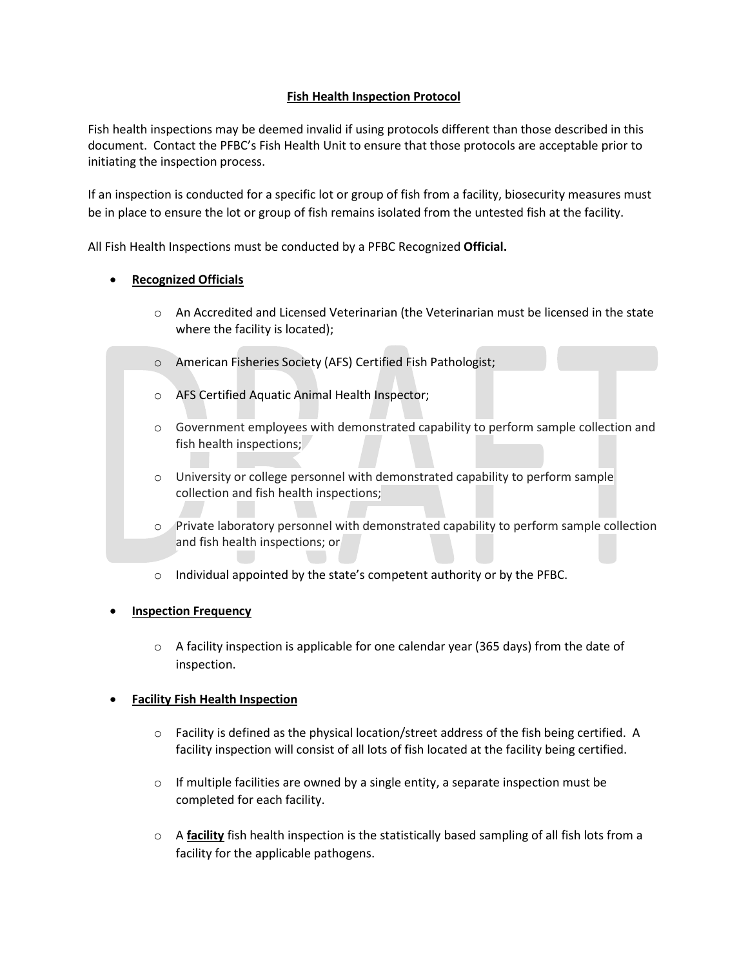### **Fish Health Inspection Protocol**

Fish health inspections may be deemed invalid if using protocols different than those described in this document. Contact the PFBC's Fish Health Unit to ensure that those protocols are acceptable prior to initiating the inspection process.

If an inspection is conducted for a specific lot or group of fish from a facility, biosecurity measures must be in place to ensure the lot or group of fish remains isolated from the untested fish at the facility.

All Fish Health Inspections must be conducted by a PFBC Recognized **Official.** 

### • **Recognized Officials**

- $\circ$  An Accredited and Licensed Veterinarian (the Veterinarian must be licensed in the state where the facility is located);
- o American Fisheries Society (AFS) Certified Fish Pathologist;
- o AFS Certified Aquatic Animal Health Inspector;
- o Government employees with demonstrated capability to perform sample collection and fish health inspections;
- o University or college personnel with demonstrated capability to perform sample collection and fish health inspections;
- o Private laboratory personnel with demonstrated capability to perform sample collection and fish health inspections; or
- o Individual appointed by the state's competent authority or by the PFBC.

#### **Inspection Frequency**

 $\circ$  A facility inspection is applicable for one calendar year (365 days) from the date of inspection.

#### • **Facility Fish Health Inspection**

- $\circ$  Facility is defined as the physical location/street address of the fish being certified. A facility inspection will consist of all lots of fish located at the facility being certified.
- $\circ$  If multiple facilities are owned by a single entity, a separate inspection must be completed for each facility.
- o A **facility** fish health inspection is the statistically based sampling of all fish lots from a facility for the applicable pathogens.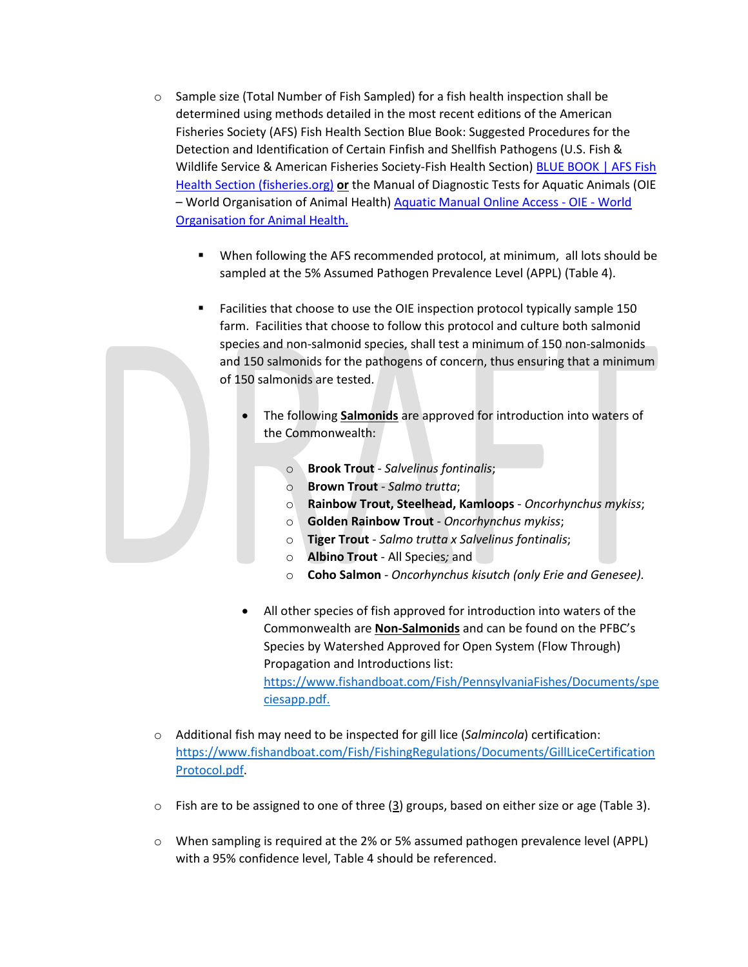- $\circ$  Sample size (Total Number of Fish Sampled) for a fish health inspection shall be determined using methods detailed in the most recent editions of the American Fisheries Society (AFS) Fish Health Section Blue Book: Suggested Procedures for the Detection and Identification of Certain Finfish and Shellfish Pathogens (U.S. Fish & Wildlife Service & American Fisheries Society-Fish Health Section) [BLUE BOOK | AFS Fish](https://units.fisheries.org/fhs/fish-health-section-blue-book-2020/)  [Health Section \(fisheries.org\)](https://units.fisheries.org/fhs/fish-health-section-blue-book-2020/) **or** the Manual of Diagnostic Tests for Aquatic Animals (OIE – World Organisation of Animal Health[\) Aquatic Manual Online Access -](https://www.oie.int/en/what-we-do/standards/codes-and-manuals/aquatic-manual-online-access/) OIE - World [Organisation for Animal Health.](https://www.oie.int/en/what-we-do/standards/codes-and-manuals/aquatic-manual-online-access/)
	- When following the AFS recommended protocol, at minimum, all lots should be sampled at the 5% Assumed Pathogen Prevalence Level (APPL) (Table 4).
	- Facilities that choose to use the OIE inspection protocol typically sample 150 farm. Facilities that choose to follow this protocol and culture both salmonid species and non-salmonid species, shall test a minimum of 150 non-salmonids and 150 salmonids for the pathogens of concern, thus ensuring that a minimum of 150 salmonids are tested.
		- The following **Salmonids** are approved for introduction into waters of the Commonwealth:
			- o **Brook Trout**  *Salvelinus fontinalis*;
			- o **Brown Trout** *Salmo trutta*;
			- o **Rainbow Trout, Steelhead, Kamloops** *Oncorhynchus mykiss*;
			- o **Golden Rainbow Trout** *Oncorhynchus mykiss*;
			- o **Tiger Trout** *Salmo trutta x Salvelinus fontinalis*;
			- o **Albino Trout** All Species*;* and
			- o **Coho Salmon** *Oncorhynchus kisutch (only Erie and Genesee).*
		- All other species of fish approved for introduction into waters of the Commonwealth are **Non-Salmonids** and can be found on the PFBC's Species by Watershed Approved for Open System (Flow Through) Propagation and Introductions list: [https://www.fishandboat.com/Fish/PennsylvaniaFishes/Documents/spe](https://www.fishandboat.com/Fish/PennsylvaniaFishes/Documents/speciesapp.pdf) [ciesapp.pdf.](https://www.fishandboat.com/Fish/PennsylvaniaFishes/Documents/speciesapp.pdf)
- o Additional fish may need to be inspected for gill lice (*Salmincola*) certification: [https://www.fishandboat.com/Fish/FishingRegulations/Documents/GillLiceCertification](https://www.fishandboat.com/Fish/FishingRegulations/Documents/GillLiceCertificationProtocol.pdf) [Protocol.pdf.](https://www.fishandboat.com/Fish/FishingRegulations/Documents/GillLiceCertificationProtocol.pdf)
- $\circ$  Fish are to be assigned to one of three (3) groups, based on either size or age (Table 3).
- $\circ$  When sampling is required at the 2% or 5% assumed pathogen prevalence level (APPL) with a 95% confidence level, Table 4 should be referenced.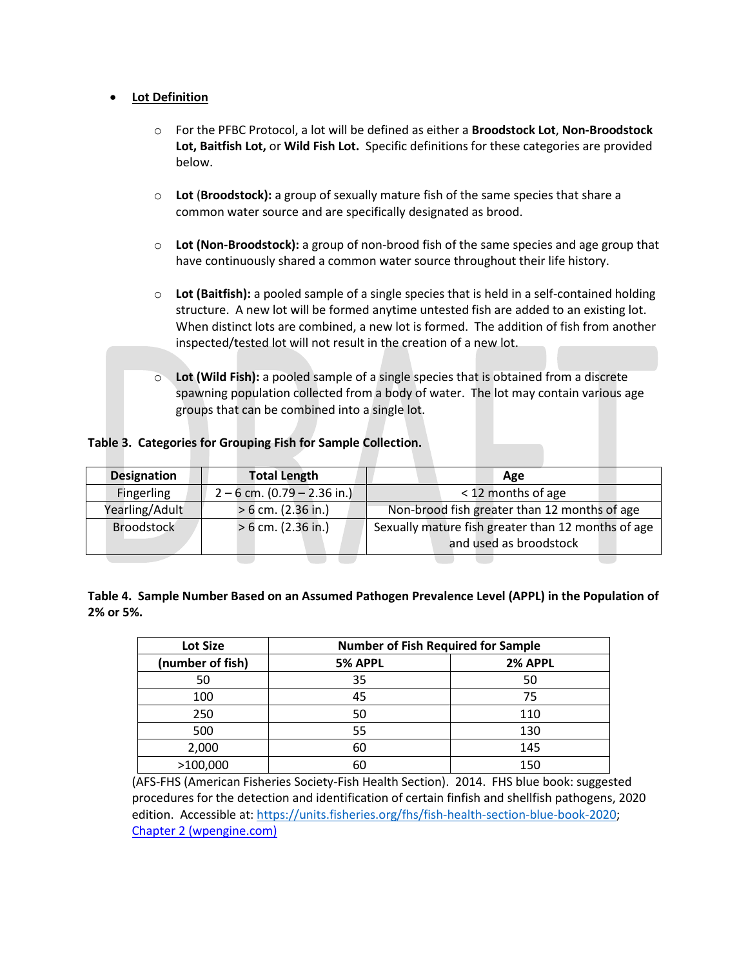#### • **Lot Definition**

- o For the PFBC Protocol, a lot will be defined as either a **Broodstock Lot**, **Non-Broodstock Lot, Baitfish Lot,** or **Wild Fish Lot.** Specific definitions for these categories are provided below.
- o **Lot** (**Broodstock):** a group of sexually mature fish of the same species that share a common water source and are specifically designated as brood.
- o **Lot (Non-Broodstock):** a group of non-brood fish of the same species and age group that have continuously shared a common water source throughout their life history.
- o **Lot (Baitfish):** a pooled sample of a single species that is held in a self-contained holding structure. A new lot will be formed anytime untested fish are added to an existing lot. When distinct lots are combined, a new lot is formed. The addition of fish from another inspected/tested lot will not result in the creation of a new lot.
- o **Lot (Wild Fish):** a pooled sample of a single species that is obtained from a discrete spawning population collected from a body of water. The lot may contain various age groups that can be combined into a single lot.

#### **Table 3. Categories for Grouping Fish for Sample Collection.**

|                   | <b>Total Length</b>           | Age                                                                          |
|-------------------|-------------------------------|------------------------------------------------------------------------------|
| Fingerling        | $2 - 6$ cm. (0.79 – 2.36 in.) | < 12 months of age                                                           |
| Yearling/Adult    | $> 6$ cm. (2.36 in.)          | Non-brood fish greater than 12 months of age                                 |
| <b>Broodstock</b> | $> 6$ cm. (2.36 in.)          | Sexually mature fish greater than 12 months of age<br>and used as broodstock |

|           |  | Table 4. Sample Number Based on an Assumed Pathogen Prevalence Level (APPL) in the Population of |
|-----------|--|--------------------------------------------------------------------------------------------------|
| 2% or 5%. |  |                                                                                                  |

| <b>Lot Size</b>  | <b>Number of Fish Required for Sample</b> |         |
|------------------|-------------------------------------------|---------|
| (number of fish) | 5% APPL                                   | 2% APPL |
| 50               | 35                                        | 50      |
| 100              | 45                                        | 75      |
| 250              | 50                                        | 110     |
| 500              | 55                                        | 130     |
| 2,000            | 60                                        | 145     |
| >100,000         | 60                                        | 150     |

(AFS-FHS (American Fisheries Society-Fish Health Section). 2014. FHS blue book: suggested procedures for the detection and identification of certain finfish and shellfish pathogens, 2020 edition. Accessible at: [https://units.fisheries.org/fhs/fish-health-section-blue-book-2020;](https://units.fisheries.org/fhs/fish-health-section-blue-book-2020) [Chapter 2 \(wpengine.com\)](https://virtuallearn.wpengine.com/fhs/wp-content/uploads/sites/30/2017/08/S2-2.2-Sampling-2014.pdf)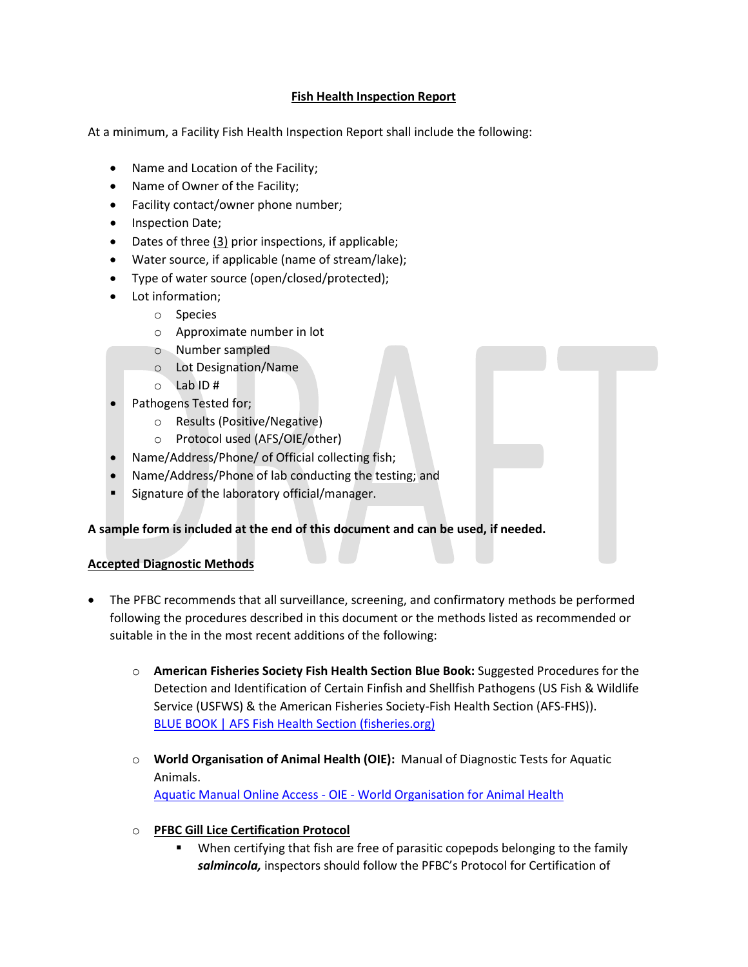### **Fish Health Inspection Report**

At a minimum, a Facility Fish Health Inspection Report shall include the following:

- Name and Location of the Facility;
- Name of Owner of the Facility;
- Facility contact/owner phone number;
- Inspection Date;
- Dates of three (3) prior inspections, if applicable;
- Water source, if applicable (name of stream/lake);
- Type of water source (open/closed/protected);
- Lot information;
	- o Species
		- o Approximate number in lot
		- o Number sampled
		- o Lot Designation/Name
		- o Lab ID #
- Pathogens Tested for;
	- o Results (Positive/Negative)
	- o Protocol used (AFS/OIE/other)
- Name/Address/Phone/ of Official collecting fish;
- Name/Address/Phone of lab conducting the testing; and
- Signature of the laboratory official/manager.

#### **A sample form is included at the end of this document and can be used, if needed.**

#### **Accepted Diagnostic Methods**

- The PFBC recommends that all surveillance, screening, and confirmatory methods be performed following the procedures described in this document or the methods listed as recommended or suitable in the in the most recent additions of the following:
	- o **American Fisheries Society Fish Health Section Blue Book:** Suggested Procedures for the Detection and Identification of Certain Finfish and Shellfish Pathogens (US Fish & Wildlife Service (USFWS) & the American Fisheries Society-Fish Health Section (AFS-FHS)). [BLUE BOOK | AFS Fish Health Section \(fisheries.org\)](https://units.fisheries.org/fhs/fish-health-section-blue-book-2020/)
	- o **World Organisation of Animal Health (OIE):** Manual of Diagnostic Tests for Aquatic Animals.

Aquatic Manual Online Access - OIE - [World Organisation for Animal Health](https://www.oie.int/en/what-we-do/standards/codes-and-manuals/aquatic-manual-online-access/)

#### o **PFBC Gill Lice Certification Protocol**

 When certifying that fish are free of parasitic copepods belonging to the family *salmincola,* inspectors should follow the PFBC's Protocol for Certification of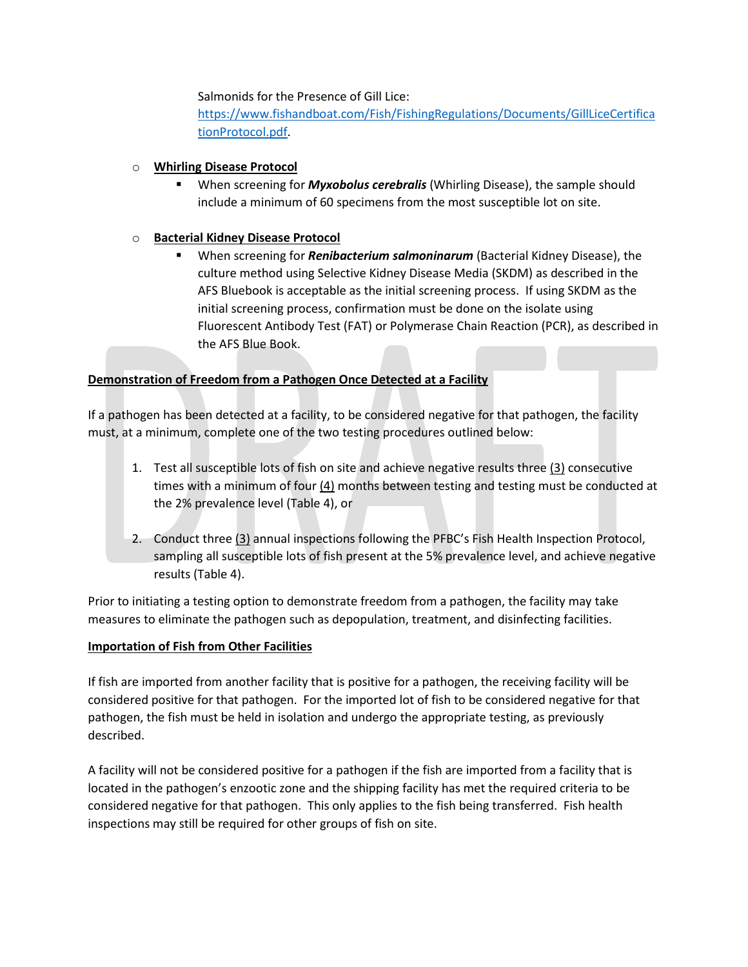Salmonids for the Presence of Gill Lice:

[https://www.fishandboat.com/Fish/FishingRegulations/Documents/GillLiceCertifica](https://www.fishandboat.com/Fish/FishingRegulations/Documents/GillLiceCertificationProtocol.pdf) [tionProtocol.pdf.](https://www.fishandboat.com/Fish/FishingRegulations/Documents/GillLiceCertificationProtocol.pdf)

### o **Whirling Disease Protocol**

 When screening for *Myxobolus cerebralis* (Whirling Disease), the sample should include a minimum of 60 specimens from the most susceptible lot on site.

### o **Bacterial Kidney Disease Protocol**

 When screening for *Renibacterium salmoninarum* (Bacterial Kidney Disease), the culture method using Selective Kidney Disease Media (SKDM) as described in the AFS Bluebook is acceptable as the initial screening process. If using SKDM as the initial screening process, confirmation must be done on the isolate using Fluorescent Antibody Test (FAT) or Polymerase Chain Reaction (PCR), as described in the AFS Blue Book.

## **Demonstration of Freedom from a Pathogen Once Detected at a Facility**

If a pathogen has been detected at a facility, to be considered negative for that pathogen, the facility must, at a minimum, complete one of the two testing procedures outlined below:

- 1. Test all susceptible lots of fish on site and achieve negative results three (3) consecutive times with a minimum of four  $(4)$  months between testing and testing must be conducted at the 2% prevalence level (Table 4), or
- 2. Conduct three (3) annual inspections following the PFBC's Fish Health Inspection Protocol, sampling all susceptible lots of fish present at the 5% prevalence level, and achieve negative results (Table 4).

Prior to initiating a testing option to demonstrate freedom from a pathogen, the facility may take measures to eliminate the pathogen such as depopulation, treatment, and disinfecting facilities.

### **Importation of Fish from Other Facilities**

If fish are imported from another facility that is positive for a pathogen, the receiving facility will be considered positive for that pathogen. For the imported lot of fish to be considered negative for that pathogen, the fish must be held in isolation and undergo the appropriate testing, as previously described.

A facility will not be considered positive for a pathogen if the fish are imported from a facility that is located in the pathogen's enzootic zone and the shipping facility has met the required criteria to be considered negative for that pathogen. This only applies to the fish being transferred. Fish health inspections may still be required for other groups of fish on site.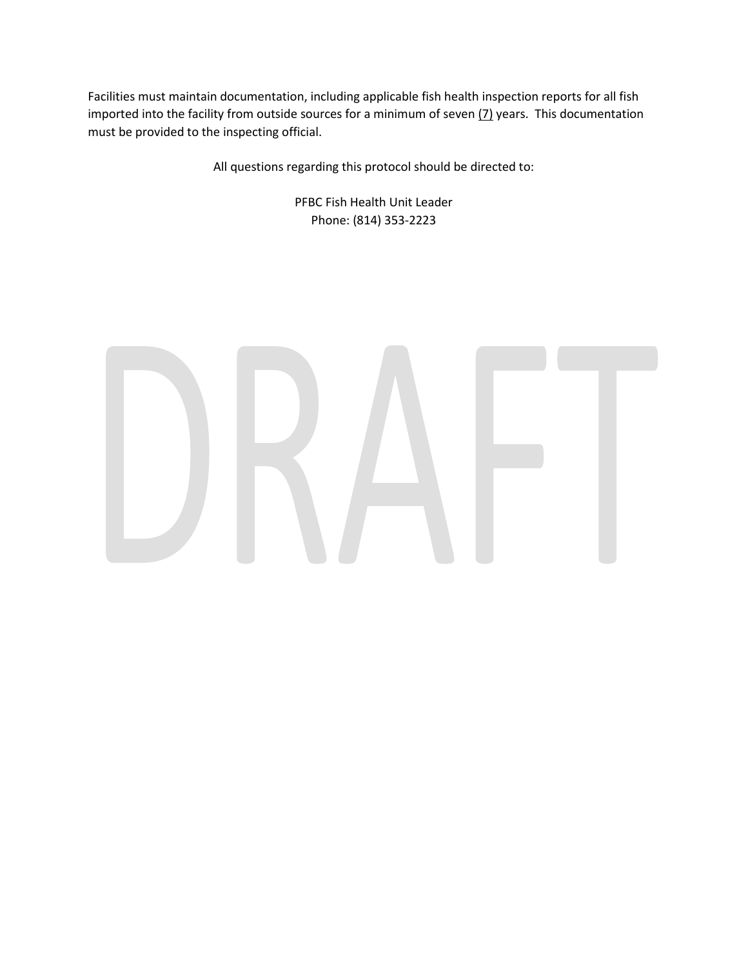Facilities must maintain documentation, including applicable fish health inspection reports for all fish imported into the facility from outside sources for a minimum of seven  $(7)$  years. This documentation must be provided to the inspecting official.

All questions regarding this protocol should be directed to:

PFBC Fish Health Unit Leader Phone: (814) 353-2223

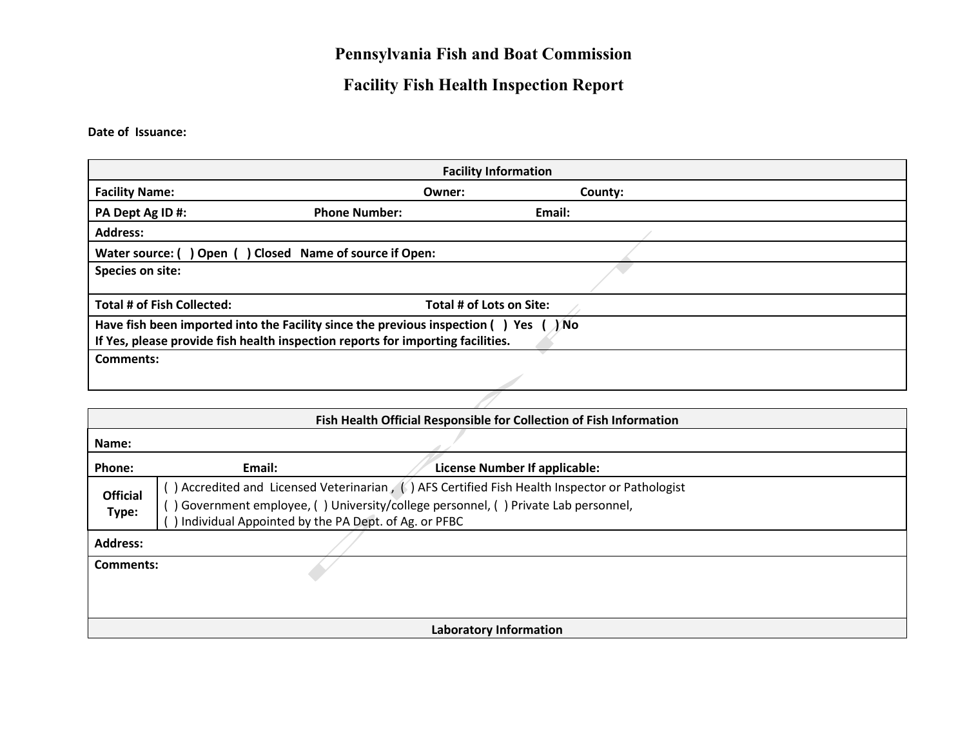# **Pennsylvania Fish and Boat Commission**

# **Facility Fish Health Inspection Report**

**Date of Issuance:**

| <b>Facility Information</b>       |                                                                                                                                                                                   |                          |  |  |  |  |  |
|-----------------------------------|-----------------------------------------------------------------------------------------------------------------------------------------------------------------------------------|--------------------------|--|--|--|--|--|
| <b>Facility Name:</b>             | Owner:                                                                                                                                                                            | County:                  |  |  |  |  |  |
| PA Dept Ag ID #:                  | <b>Phone Number:</b>                                                                                                                                                              | Email:                   |  |  |  |  |  |
| <b>Address:</b>                   |                                                                                                                                                                                   |                          |  |  |  |  |  |
|                                   | Water source: () Open () Closed Name of source if Open:                                                                                                                           |                          |  |  |  |  |  |
| Species on site:                  |                                                                                                                                                                                   |                          |  |  |  |  |  |
| <b>Total # of Fish Collected:</b> |                                                                                                                                                                                   | Total # of Lots on Site: |  |  |  |  |  |
|                                   | Have fish been imported into the Facility since the previous inspection () Yes ( $\sqrt{N}$ No<br>If Yes, please provide fish health inspection reports for importing facilities. |                          |  |  |  |  |  |
| <b>Comments:</b>                  |                                                                                                                                                                                   |                          |  |  |  |  |  |
|                                   |                                                                                                                                                                                   |                          |  |  |  |  |  |

|                          | Fish Health Official Responsible for Collection of Fish Information |                                                                                                                                                                                   |  |  |  |  |  |  |
|--------------------------|---------------------------------------------------------------------|-----------------------------------------------------------------------------------------------------------------------------------------------------------------------------------|--|--|--|--|--|--|
| Name:                    |                                                                     |                                                                                                                                                                                   |  |  |  |  |  |  |
| Phone:                   | Email:                                                              | License Number If applicable:                                                                                                                                                     |  |  |  |  |  |  |
| <b>Official</b><br>Type: | Individual Appointed by the PA Dept. of Ag. or PFBC                 | ) Accredited and Licensed Veterinarian, (1) AFS Certified Fish Health Inspector or Pathologist<br>Government employee, () University/college personnel, () Private Lab personnel, |  |  |  |  |  |  |
| <b>Address:</b>          |                                                                     |                                                                                                                                                                                   |  |  |  |  |  |  |
| Comments:                |                                                                     |                                                                                                                                                                                   |  |  |  |  |  |  |
|                          |                                                                     |                                                                                                                                                                                   |  |  |  |  |  |  |
|                          |                                                                     | Laboratory Information                                                                                                                                                            |  |  |  |  |  |  |